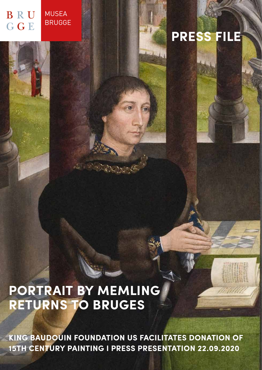#### MUSEA **B** R U BRUGGE G G E

# **PRESS FILE**

## **PORTRAIT BY MEMLING RETURNS TO BRUGES**

**KING BAUDOUIN FOUNDATION US FACILITATES DONATION OF 15TH CENTURY PAINTING I PRESS PRESENTATION 22.09.2020**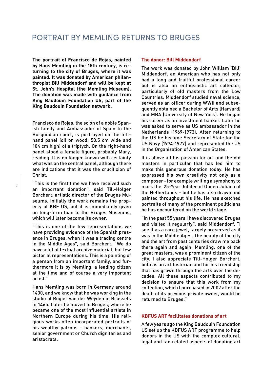**The portrait of Francisco de Rojas, painted by Hans Memling in the 15th century, is returning to the city of Bruges, where it was painted. It was donated by American philanthropist Bill Middendorf and will be kept at St. John's Hospital (the Memling Museum). The donation was made with guidance from King Baudouin Foundation US, part of the King Baudouin Foundation network.** 

Francisco de Rojas, the scion of a noble Spanish family and Ambassador of Spain to the Burgundian court, is portrayed on the lefthand panel (oil on wood; 50.5 cm wide and 104 cm high) of a triptych. On the right-hand panel stood a female figure, probably Mary, reading. It is no longer known with certainty what was on the central panel, although there are indications that it was the crucifixion of Christ.

"This is the first time we have received such an important donation", said Till-Holger Borchert, artistic director of the Bruges Museums. Initially the work remains the property of KBF US, but it is immediately given on long-term loan to the Bruges Museums, which will later become its owner.

"This is one of the few representations we have providing evidence of the Spanish presence in Bruges, when it was a trading centre in the Middle Ages", said Borchert. "We do have a lot of textual archive material, but few pictorial representations. This is a painting of a person from an important family, and furthermore it is by Memling, a leading citizen at the time and of course a very important artist."

Hans Memling was born in Germany around 1430, and we know that he was working in the studio of Rogier van der Weyden in Brussels in 1465. Later he moved to Bruges, where he became one of the most influential artists in Northern Europe during his time. His religious works often incorporated portraits of his wealthy patrons - bankers, merchants, senior government or Church dignitaries and aristocrats.

#### **The donor: Bill Middendorf**

The work was donated by John William 'Bill' Middendorf, an American who has not only had a long and fruitful professional career but is also an enthusiastic art collector, particularly of old masters from the Low Countries. Middendorf studied naval science, served as an officer during WWII and subsequently obtained a Bachelor of Arts (Harvard) and MBA (University of New York). He began his career as an investment banker. Later he was asked to serve as US ambassador in the Netherlands (1969-1973). After returning to the US he became Secretary of State for the US Navy (1974-1977) and represented the US in the Organization of American States.

It is above all his passion for art and the old masters in particular that has led him to make this generous donation today. He has expressed his own creativity not only as a composer - for example writing a symphony to mark the 25-Year Jubilee of Queen Juliana of the Netherlands – but he has also drawn and painted throughout his life. He has sketched portraits of many of the prominent politicians he has encountered on the world stage.

"In the past 55 years I have discovered Bruges and visited it regularly", said Middendorf. "I see it as a rare jewel, largely preserved as it was in the Middle Ages. The beauty of the city and the art from past centuries draw me back there again and again. Memling, one of the great masters, was a prominent citizen of the city. I also appreciate Till-Holger Borchert, both as an art historian and for his friendship that has grown through the arts over the decades. All these aspects contributed to my decision to ensure that this work from my collection, which I purchased in 2002 after the death of its previous private owner, would be returned to Bruges."

#### **KBFUS ART facilitates donations of art**

A few years ago the King Baudouin Foundation US set up the KBFUS ART programme to help donors in the US with the complex cultural, legal and tax-related aspects of donating art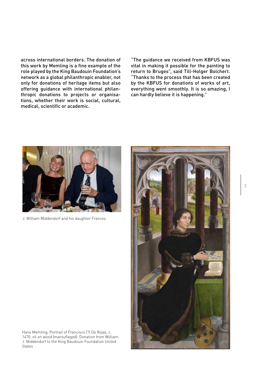across international borders. The donation of this work by Memling is a fine example of the role played by the King Baudouin Foundation's network as a global philanthropic enabler, not only for donations of heritage items but also offering guidance with international philanthropic donations to projects or organisations, whether their work is social, cultural, medical, scientific or academic.

"The guidance we received from KBFUS was vital in making it possible for the painting to return to Bruges", said Till-Holger Bolchert. "Thanks to the process that has been created by the KBFUS for donations of works of art, everything went smoothly. It is so amazing, I can hardly believe it is happening."



J. William Middendorf and his daughter Frances.